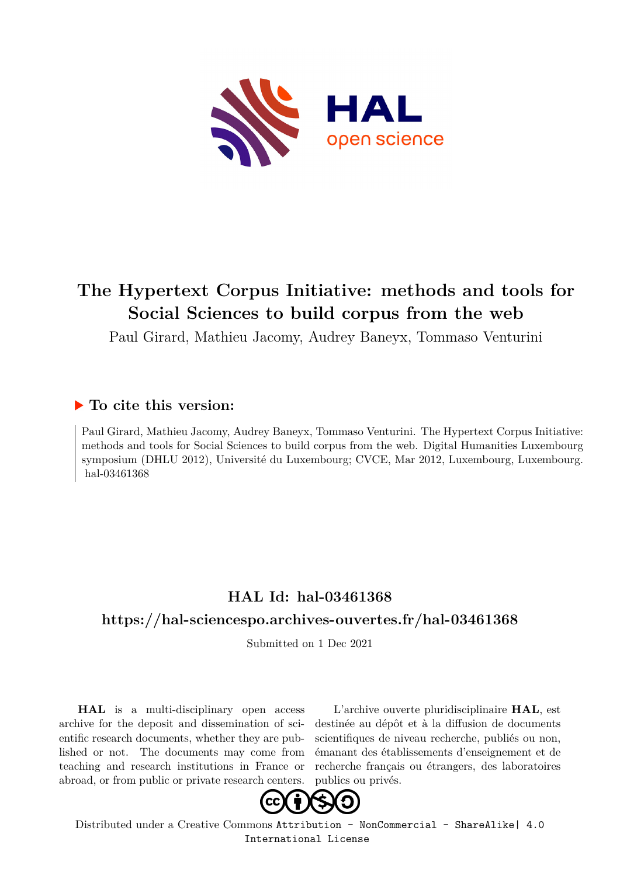

# **The Hypertext Corpus Initiative: methods and tools for Social Sciences to build corpus from the web**

Paul Girard, Mathieu Jacomy, Audrey Baneyx, Tommaso Venturini

#### **To cite this version:**

Paul Girard, Mathieu Jacomy, Audrey Baneyx, Tommaso Venturini. The Hypertext Corpus Initiative: methods and tools for Social Sciences to build corpus from the web. Digital Humanities Luxembourg symposium (DHLU 2012), Université du Luxembourg; CVCE, Mar 2012, Luxembourg, Luxembourg. hal-03461368

## **HAL Id: hal-03461368**

### **<https://hal-sciencespo.archives-ouvertes.fr/hal-03461368>**

Submitted on 1 Dec 2021

**HAL** is a multi-disciplinary open access archive for the deposit and dissemination of scientific research documents, whether they are published or not. The documents may come from teaching and research institutions in France or abroad, or from public or private research centers.

L'archive ouverte pluridisciplinaire **HAL**, est destinée au dépôt et à la diffusion de documents scientifiques de niveau recherche, publiés ou non, émanant des établissements d'enseignement et de recherche français ou étrangers, des laboratoires publics ou privés.



Distributed under a Creative Commons [Attribution - NonCommercial - ShareAlike| 4.0](http://creativecommons.org/licenses/by-nc-sa/4.0/) [International License](http://creativecommons.org/licenses/by-nc-sa/4.0/)